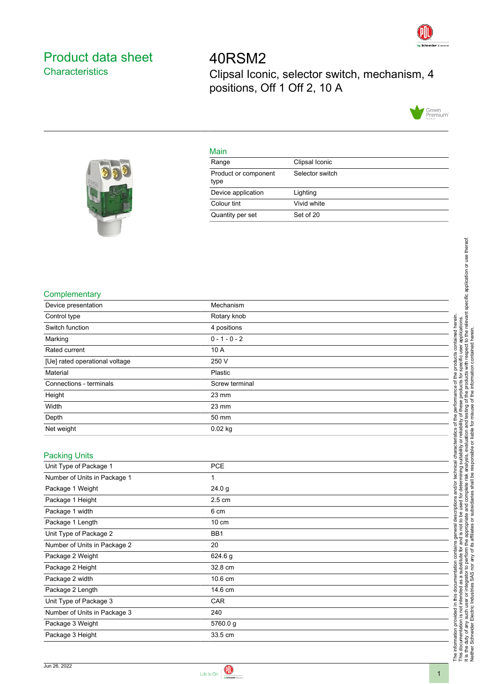

## <span id="page-0-0"></span>Product data sheet **Characteristics**

40RSM2 Clipsal Iconic, selector switch, mechanism, 4 positions, Off 1 Off 2, 10 A



## Main

| Range                        | Clipsal Iconic  |
|------------------------------|-----------------|
| Product or component<br>type | Selector switch |
| Device application           | Lighting        |
| Colour tint                  | Vivid white     |
| Quantity per set             | Set of 20       |



| Device presentation            | Mechanism       |
|--------------------------------|-----------------|
| Control type                   | Rotary knob     |
| Switch function                | 4 positions     |
| Marking                        | $0 - 1 - 0 - 2$ |
| Rated current                  | 10 A            |
| [Ue] rated operational voltage | 250 V           |
| Material                       | Plastic         |
| Connections - terminals        | Screw terminal  |
| Height                         | $23 \text{ mm}$ |
| Width                          | 23 mm           |
| Depth                          | 50 mm           |
| Net weight                     | $0.02$ kg       |

| <b>Packing Units</b> |                      |
|----------------------|----------------------|
|                      | Unit Type of Package |

| Unit Type of Package 1       | <b>PCE</b>       |  |
|------------------------------|------------------|--|
| Number of Units in Package 1 | 1                |  |
| Package 1 Weight             | 24.0 g           |  |
| Package 1 Height             | $2.5 \text{ cm}$ |  |
| Package 1 width              | 6 cm             |  |
| Package 1 Length             | $10 \text{ cm}$  |  |
| Unit Type of Package 2       | BB <sub>1</sub>  |  |
| Number of Units in Package 2 | 20               |  |
| Package 2 Weight             | 624.6 g          |  |
| Package 2 Height             | 32.8 cm          |  |
| Package 2 width              | 10.6 cm          |  |
| Package 2 Length             | 14.6 cm          |  |
| Unit Type of Package 3       | CAR              |  |
| Number of Units in Package 3 | 240              |  |
| Package 3 Weight             | 5760.0 g         |  |
| Package 3 Height             | 33.5 cm          |  |